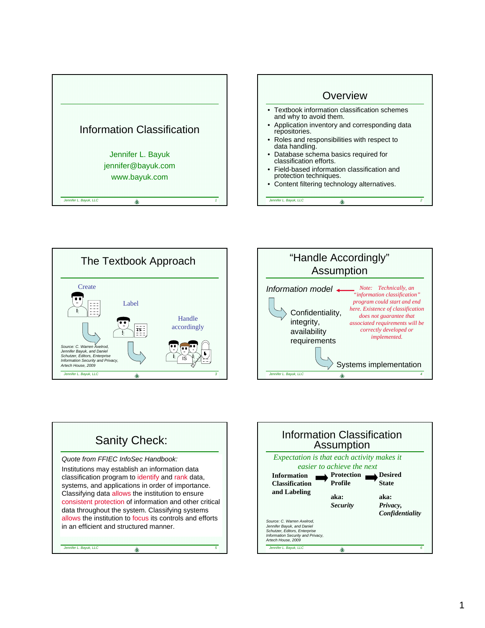









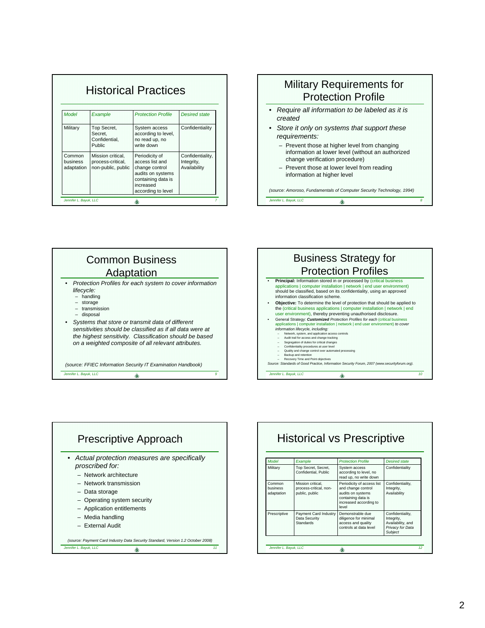| <b>Historical Practices</b>             |                                                              |                                                                                                                                   |                                                |  |  |
|-----------------------------------------|--------------------------------------------------------------|-----------------------------------------------------------------------------------------------------------------------------------|------------------------------------------------|--|--|
| Model                                   | Example                                                      | <b>Protection Profile</b>                                                                                                         | <b>Desired state</b>                           |  |  |
| Military                                | Top Secret,<br>Secret,<br>Confidential.<br>Public            | System access<br>according to level,<br>no read up, no<br>write down                                                              | Confidentiality                                |  |  |
| Common<br><b>business</b><br>adaptation | Mission critical,<br>process-critical,<br>non-public, public | Periodicity of<br>access list and<br>change control<br>audits on systems<br>containing data is<br>increased<br>according to level | Confidentiality,<br>Integrity,<br>Availability |  |  |

## Military Requirements for Protection Profile

- *Require all information to be labeled as it is created*
- *Store it only on systems that support these requirements:*
	- Prevent those at higher level from changing information at lower level (without an authorized change verification procedure)
	- Prevent those at lower level from reading information at higher level

*Jennifer L. Bayuk, LLC* **8** *(source: Amoroso, Fundamentals of Computer Security Technology, 1994)*







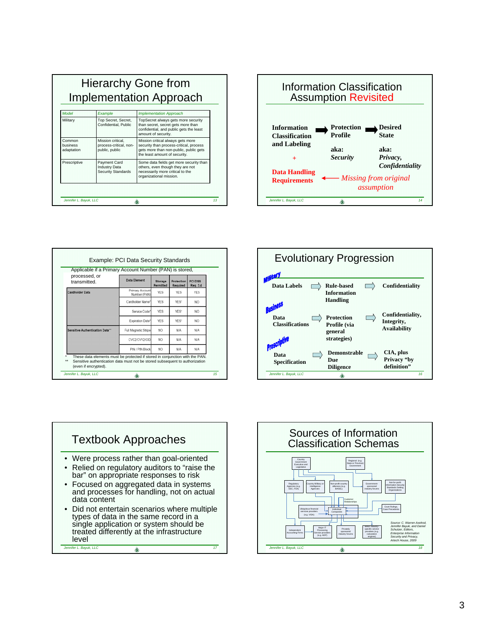| <b>Implementation Approach</b>               |                                                                                                              |                                                                                                                                                         |  |  |  |
|----------------------------------------------|--------------------------------------------------------------------------------------------------------------|---------------------------------------------------------------------------------------------------------------------------------------------------------|--|--|--|
| Model                                        | Example                                                                                                      | <b>Implementation Approach</b>                                                                                                                          |  |  |  |
| Military<br>Common<br>business<br>adaptation | Top Secret, Secret,<br>Confidential, Public<br>Mission critical.<br>process-critical, non-<br>public, public | TopSecret always gets more security<br>than secret, secret gets more than<br>confidential, and public gets the least<br>amount of security.             |  |  |  |
|                                              |                                                                                                              | Mission critical always gets more<br>security than process-critical, process<br>gets more than non-public, public gets<br>the least amount of security. |  |  |  |
| Prescriptive                                 | <b>Payment Card</b><br><b>Industry Data</b><br><b>Security Standards</b>                                     | Some data fields get more security than<br>others, even though they are not<br>necessarily more critical to the<br>organizational mission.              |  |  |  |



| processed, or<br>transmitted.   | <b>Data Element</b>             | Storage<br>Permitted | Protection<br>Required | <b>PCI DSS</b><br>Reg. 3.4 |
|---------------------------------|---------------------------------|----------------------|------------------------|----------------------------|
| <b>Cardholder Data</b>          | Primary Account<br>Number (PAN) | <b>YES</b>           | <b>YES</b>             | <b>YES</b>                 |
|                                 | Cardholder Name'                | <b>YES</b>           | YES*                   | NO.                        |
|                                 | Service Code                    | YES                  | YES*                   | NO <sub></sub>             |
|                                 | Expiration Date*                | YES                  | YES*                   | NO <sub></sub>             |
| Sensitive Authentication Data** | Full Magnetic Stripe            | NO.                  | N/A                    | N/A                        |
|                                 | CVC2/CVV2/CID                   | NO.                  | N/A                    | N/A                        |
|                                 | PIN / PIN Block                 | NO.                  | N/A                    | N/A                        |





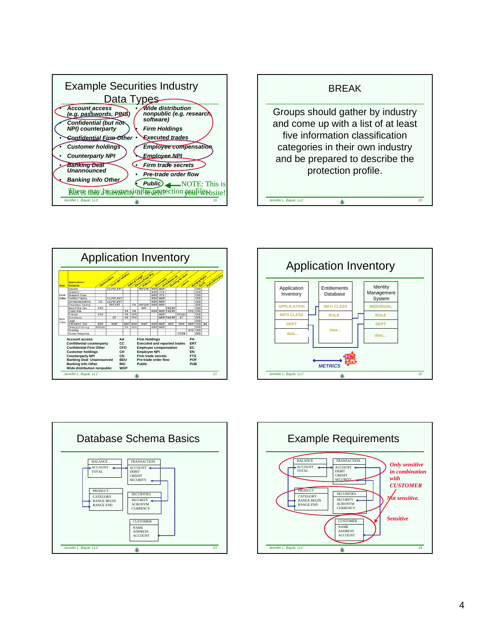









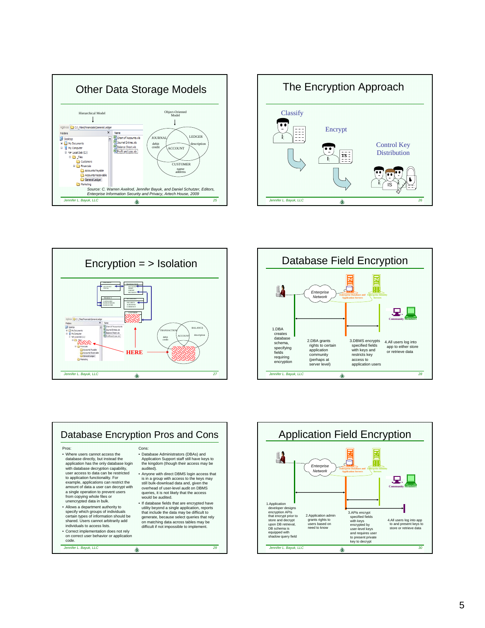









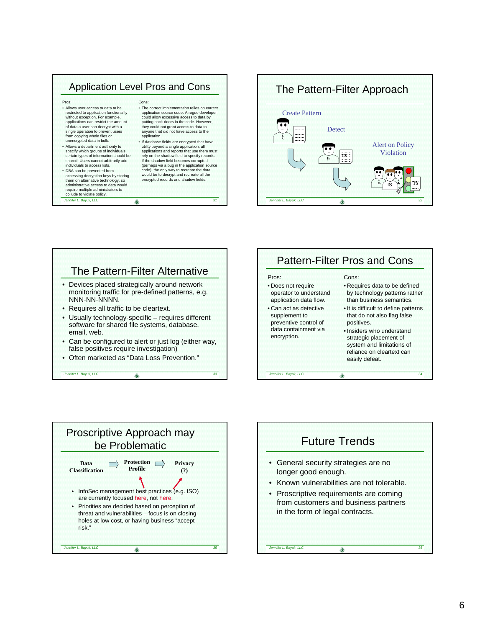## Application Level Pros and Cons Pros: • Allows user access to data to be restricted to application functionality without exception. For example, applications can restrict the amount of data a user can decrypt with a single operation to prevent users from copying whole files or unencrypted data in bulk. • Allows a department authority to specify which groups of individuals certain types of information should be shared. Users cannot arbitrarily add individuals to access lists. • DBA can be prevented from accessing decryption keys by storing them on alternative technology, so Cons: • The correct implementation relies on correct application source code. A rogue developer could allow excessive access to data by putting back-doors in the code. However, they could not grant access to data to anyone that did not have access to the application. • If database fields are encrypted that have utility beyond a single application, all applications and reports that use them must rely on the shadow field to specify records. If the shadow field becomes corrupted (perhaps via a bug in the application source code), the only way to recreate the data would be to decrypt and recreate all the encrypted records and shadow fields.

*Jennifer L. Bayuk, LLC 31*

administrative access to data would require multiple administrators to collude to violate policy.

## *Jennifer L. Bayuk, LLC 32* •.•.•. Create Pattern **Detect** Alert on Policy Violation The Pattern-Filter Approach  $\sum_{i=1}^{n}$ •.•.•.  $\frac{1}{s}$  is  $\frac{1}{s}$  is